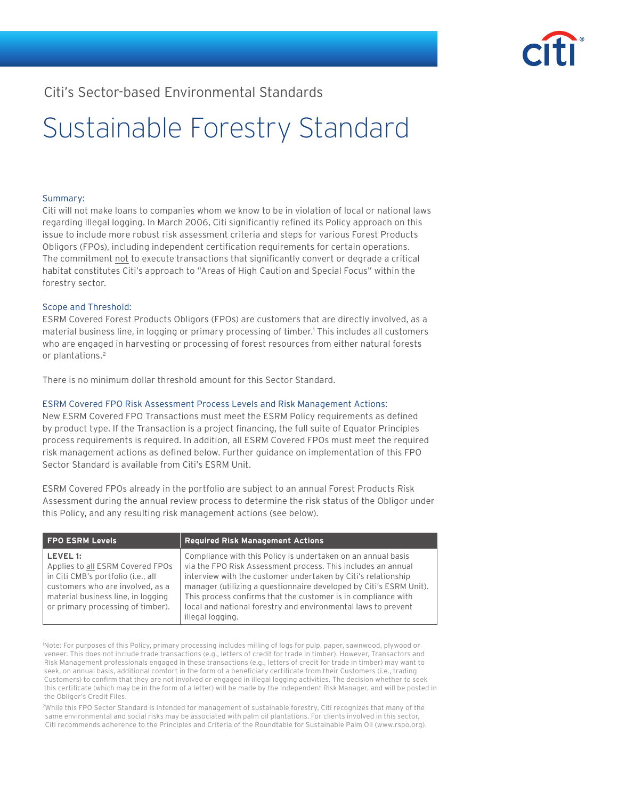

## Citi's Sector-based Environmental Standards

# Sustainable Forestry Standard

### Summary:

Citi will not make loans to companies whom we know to be in violation of local or national laws regarding illegal logging. In March 2006, Citi significantly refined its Policy approach on this issue to include more robust risk assessment criteria and steps for various Forest Products Obligors (FPOs), including independent certification requirements for certain operations. The commitment not to execute transactions that significantly convert or degrade a critical habitat constitutes Citi's approach to "Areas of High Caution and Special Focus" within the forestry sector.

#### Scope and Threshold:

ESRM Covered Forest Products Obligors (FPOs) are customers that are directly involved, as a material business line, in logging or primary processing of timber.1 This includes all customers who are engaged in harvesting or processing of forest resources from either natural forests or plantations.<sup>2</sup>

There is no minimum dollar threshold amount for this Sector Standard.

### ESRM Covered FPO Risk Assessment Process Levels and Risk Management Actions:

New ESRM Covered FPO Transactions must meet the ESRM Policy requirements as defined by product type. If the Transaction is a project financing, the full suite of Equator Principles process requirements is required. In addition, all ESRM Covered FPOs must meet the required risk management actions as defined below. Further guidance on implementation of this FPO Sector Standard is available from Citi's ESRM Unit.

ESRM Covered FPOs already in the portfolio are subject to an annual Forest Products Risk Assessment during the annual review process to determine the risk status of the Obligor under this Policy, and any resulting risk management actions (see below).

| <b>FPO ESRM Levels</b>                                                                                                                                                                            | <b>Required Risk Management Actions</b>                                                                                                                                                                                                                                                                                                                                                                                   |
|---------------------------------------------------------------------------------------------------------------------------------------------------------------------------------------------------|---------------------------------------------------------------------------------------------------------------------------------------------------------------------------------------------------------------------------------------------------------------------------------------------------------------------------------------------------------------------------------------------------------------------------|
| LEVEL 1:<br>Applies to all ESRM Covered FPOs<br>in Citi CMB's portfolio (i.e., all<br>customers who are involved, as a<br>material business line, in logging<br>or primary processing of timber). | Compliance with this Policy is undertaken on an annual basis<br>via the FPO Risk Assessment process. This includes an annual<br>interview with the customer undertaken by Citi's relationship<br>manager (utilizing a questionnaire developed by Citi's ESRM Unit).<br>This process confirms that the customer is in compliance with<br>local and national forestry and environmental laws to prevent<br>illegal logging. |

1 Note: For purposes of this Policy, primary processing includes milling of logs for pulp, paper, sawnwood, plywood or veneer. This does not include trade transactions (e.g., letters of credit for trade in timber). However, Transactors and Risk Management professionals engaged in these transactions (e.g., letters of credit for trade in timber) may want to seek, on annual basis, additional comfort in the form of a beneficiary certificate from their Customers (i.e., trading Customers) to confirm that they are not involved or engaged in illegal logging activities. The decision whether to seek this certificate (which may be in the form of a letter) will be made by the Independent Risk Manager, and will be posted in the Obligor's Credit Files.

2While this FPO Sector Standard is intended for management of sustainable forestry, Citi recognizes that many of the same environmental and social risks may be associated with palm oil plantations. For clients involved in this sector, Citi recommends adherence to the Principles and Criteria of the Roundtable for Sustainable Palm Oil (www.rspo.org).